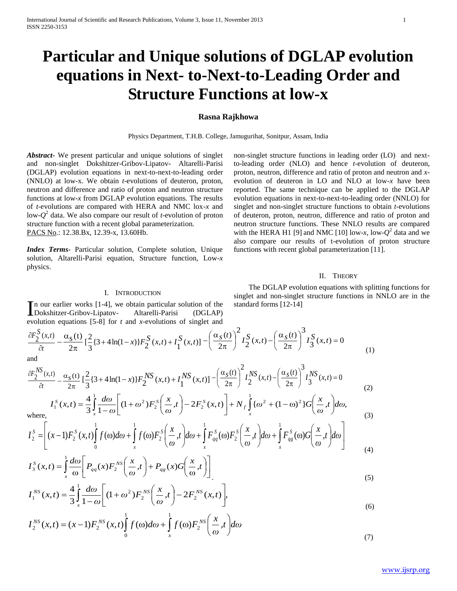# **Particular and Unique solutions of DGLAP evolution equations in Next- to-Next-to-Leading Order and Structure Functions at low-x**

# **Rasna Rajkhowa**

Physics Department, T.H.B. College, Jamugurihat, Sonitpur, Assam, India

*Abstract***-** We present particular and unique solutions of singlet and non-singlet Dokshitzer-Gribov-Lipatov- Altarelli-Parisi (DGLAP) evolution equations in next-to-next-to-leading order (NNLO) at low-x. We obtain *t*-evolutions of deuteron, proton, neutron and difference and ratio of proton and neutron structure functions at low-*x* from DGLAP evolution equations. The results of *t*-evolutions are compared with HERA and NMC lox-*x* and low-*Q* 2 data. We also compare our result of *t*-evolution of proton structure function with a recent global parameterization. PACS No.: 12.38.Bx, 12.39-x, 13.60Hb.

*Index Terms*- Particular solution, Complete solution, Unique solution, Altarelli-Parisi equation, Structure function, Low-*x*  physics.

non-singlet structure functions in leading order (LO) and nextto-leading order (NLO) and hence *t*-evolution of deuteron, proton, neutron, difference and ratio of proton and neutron and *x*evolution of deuteron in LO and NLO at low-*x* have been reported. The same technique can be applied to the DGLAP evolution equations in next-to-next-to-leading order (NNLO) for singlet and non-singlet structure functions to obtain *t*-evolutions of deuteron, proton, neutron, difference and ratio of proton and neutron structure functions. These NNLO results are compared with the HERA H1 [9] and NMC [10] low-*x*, low- $Q^2$  data and we also compare our results of t-evolution of proton structure functions with recent global parameterization [11].

## II. THEORY

#### I. INTRODUCTION

n our earlier works [1-4], we obtain particular solution of the In our earlier works [1-4], we obtain particular solution of the<br>Dokshitzer-Gribov-Lipatov- Altarelli-Parisi (DGLAP) evolution equations [5-8] for *t* and *x*-evolutions of singlet and

*t*  $F_2^S(x,t)$ дı  $\partial F_2^D(x,t)$  $\pi$  $-\frac{\alpha}{\alpha}$ 2  $s(t)$  $\{3+4\ln(1-x)\}F_2^{\mathcal{S}}(x,t)+I_1^{\mathcal{S}}(x,t)\}$ 3  $\left[ \frac{2}{3} \{3 + 4 \ln(1-x)\} F_2^S(x,t) + I_1^S(x,t) \right] - \left[ \frac{\alpha_S(t)}{2\pi} \right] I_2^S(x,t) - \left[ \frac{\alpha_S(t)}{2\pi} \right] I_3^S(x,t) = 0$ 3 2  $\sum_{i=1}^{S} (x,t) - \left( \frac{\alpha_s(t)}{2\pi} \right)$ 2 2  $\left(\frac{t}{t}\right)^{2} I_{2}^{S}(x,t) - \left(\frac{\alpha_{S}(t)}{2}\right)^{3} I_{2}^{S}(x,t) =$ J  $\left(\frac{\alpha_s(t)}{2}\right)$ L ſ  $\pi$  $\int_{1}^{2} I_{2}^{S}(x,t) - \left(\frac{\alpha}{2}\right)^{2} d\mu$ J  $\left(\frac{\alpha_s(t)}{2}\right)$ L ſ  $\pi$  $-\left(\frac{\alpha_s(t)}{t}\right)^2 I_s^S(x,t) - \left(\frac{\alpha_s(t)}{t}\right)^3 I_s^S(x,t)$  (1) and

$$
\frac{\partial F_2^{NS}(x,t)}{\partial t} - \frac{\alpha_S(t)}{2\pi} \left[ \frac{2}{3} \{3 + 4\ln(1-x)\} F_2^{NS}(x,t) + I_1^{NS}(x,t) \right] - \left( \frac{\alpha_S(t)}{2\pi} \right)^2 I_2^{NS}(x,t) - \left( \frac{\alpha_S(t)}{2\pi} \right)^3 I_3^{NS}(x,t) = 0
$$
\n(2)

$$
I_1^S(x,t) = \frac{4}{3} \int_x^1 \frac{d\omega}{1-\omega} \left[ (1+\omega^2) F_2^S\left(\frac{x}{\omega},t\right) - 2F_2^S(x,t) \right] + N_f \int_x^1 \{\omega^2 + (1-\omega)^2\} G\left(\frac{x}{\omega},t\right) d\omega,
$$
\n(3)

where,  
\n
$$
I_2^s = \left[ (x-1)F_2^s(x,t) \int_0^1 f(\omega) d\omega + \int_x^1 f(\omega) F_2^s \left( \frac{x}{\omega}, t \right) d\omega + \int_x^1 F_{qq}^s(\omega) F_2^s \left( \frac{x}{\omega}, t \right) d\omega + \int_x^1 F_{qq}^s(\omega) G \left( \frac{x}{\omega}, t \right) d\omega \right]
$$
\n(4)

$$
I_3^S(x,t) = \int_x^1 \frac{d\omega}{\omega} \left[ P_{qq}(x) F_2^{NS} \left( \frac{x}{\omega}, t \right) + P_{qs}(x) G \left( \frac{x}{\omega}, t \right) \right]
$$
\n
$$
A^{-1} \left[ \frac{d\omega}{\omega} \right] \left[ \frac{x}{\omega} + \frac{1}{\omega} \right] \tag{5}
$$

$$
I_1^{NS}(x,t) = \frac{4}{3} \int_{x}^{1} \frac{d\omega}{1-\omega} \bigg[ (1+\omega^2) F_2^{NS} \bigg( \frac{x}{\omega}, t \bigg) - 2F_2^{NS}(x,t) \bigg],\tag{6}
$$

$$
I_2^{NS}(x,t) = (x-1)F_2^{NS}(x,t)\int_0^1 f(\omega)d\omega + \int_x^1 f(\omega)F_2^{NS}\left(\frac{x}{\omega},t\right)d\omega
$$
\n(7)

 The DGLAP evolution equations with splitting functions for singlet and non-singlet structure functions in NNLO are in the standard forms [12-14]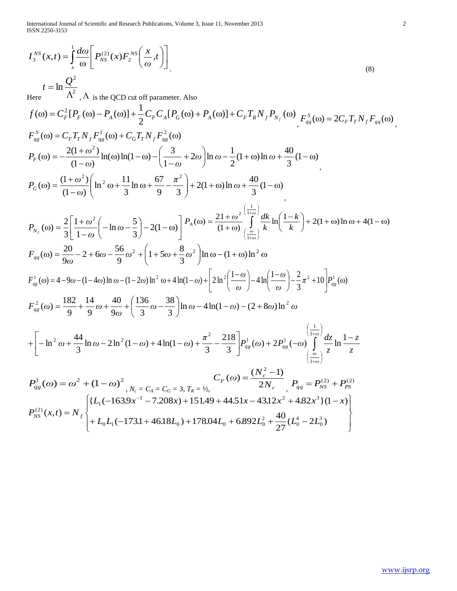International Journal of Scientific and Research Publications, Volume 3, Issue 11, November 2013 2 ISSN 2250-3153

$$
I_3^{NS}(x,t) = \frac{1}{s} \frac{d\omega}{\omega} \left[ P_{NS}^{(3)}(x) P_2^{NS} \left( \frac{x}{\omega} t \right) \right]
$$
\n
$$
I = \ln \frac{Q^2}{\Lambda^2}, \Lambda \text{ is the QCD cut of parameter. Also}
$$
\n
$$
f(\omega) = C_p^2 [P_p(\omega) - P_a(\omega)] + \frac{1}{2} C_p C_a [P_q(\omega) + P_a(\omega)] + C_p T_p N_f P_{N_f}(\omega) \cdot F_{N_f}^s(\omega) = 2C_p T_p N_f F_{N_f}(\omega) \cdot F_{N_f}^s(\omega) = C_p T_p N_f F_{N_f}^s(\omega) + C_p T_p N_f F_{N_f}^s(\omega)
$$
\n
$$
P_r(\omega) = -\frac{2(1+\omega^2)}{(1-\omega)} \ln(\omega) \ln(1-\omega) - \left( \frac{3}{1-\omega} + 2\omega \right) \ln \omega - \frac{1}{2} (1+\omega) \ln \omega + \frac{40}{3} (1-\omega) \cdot F_{0}(\omega) = \frac{(1+\omega^2)(1+\omega^2)(1+\omega)}{(1-\omega)} \ln \omega + \frac{40}{3} (1-\omega) \cdot F_{0}(\omega) = \frac{(1+\omega^2)(1+\omega^2)(1+\omega)(1+\omega)}{(1-\omega)} F_{N_f}(\omega) = \frac{2}{3} \left[ \frac{1+\omega^2}{1-\omega} \left( -\ln \omega - \frac{5}{3} \right) - 2(1-\omega) \right] P_a(\omega) = \frac{2(1+\omega)^2 (1+\omega)}{(1+\omega)} \frac{1}{(1+\omega)} k \ln \left( \frac{1-k}{k} \right) + 2(1+\omega) \ln \omega + 4(1-\omega) + F_{N_f}(\omega) = \frac{2}{3} \left[ \frac{1+\omega^2}{\omega} \left( -\ln \omega - \frac{5}{3} \right) - 2(1-\omega) \right] P_a(\omega) = \frac{2(1+\omega)^2 (1+\omega)}{(1+\omega)} k \ln \left( \frac{1-\omega}{\omega} \right) - \frac{2}{3} \pi^2 + 10 \right] P_{0}^s(\omega) = \frac{20}{9\omega} - 2 + 6\omega - \frac{56}{9}\omega^2 + \left( 1 + 5\omega + \frac{8}{3}\omega
$$

27

0

0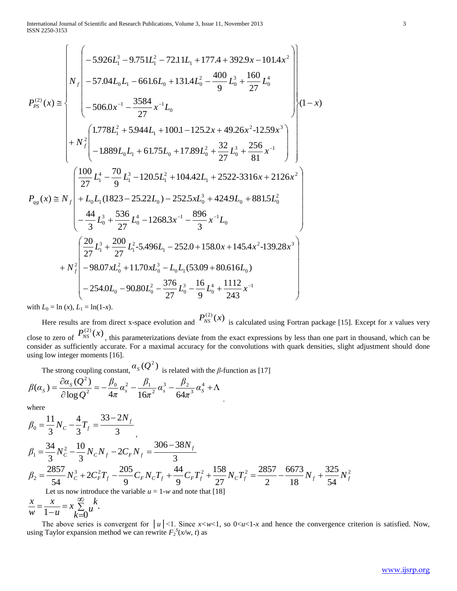$$
P_{PS}(x) \approx N_f \begin{pmatrix} -5.926L_1^3 - 9.751L_1^2 - 72.11L_1 + 177.4 + 392.9x - 101.4x^2 \\ -57.04L_0L_1 - 661.6L_0 + 131.4L_0^2 - \frac{400}{9}L_0^3 + \frac{160}{27}L_0^4 \\ -506.0x^{-1} - \frac{3584}{27}x^{-1}L_0 \\ + N_f^2 \begin{pmatrix} 1.778L_1^2 + 5.944L_1 + 100.1 - 125.2x + 49.26x^2 - 12.59x^3 \\ -1.889L_0L_1 + 61.75L_0 + 17.89L_0^2 + \frac{32}{27}L_0^3 + \frac{256}{81}x^{-1} \end{pmatrix} \end{pmatrix} (1-x)
$$
  
\n
$$
P_{qs}(x) \approx N_f \begin{pmatrix} \frac{100}{27}L_1^4 - \frac{70}{9}L_1^3 - 120.5L_1^2 + 104.42L_1 + 2522-3316x + 2126x^2 \\ -\frac{44}{3}L_0^3 + \frac{536}{27}L_0^4 - 1268.3x^{-1} - \frac{896}{3}x^{-1}L_0 \\ -\frac{44}{3}L_0^3 + \frac{200}{27}L_1^2 - 5.496L_1 - 252.0 + 158.0x + 145.4x^2 - 139.28x^3 \\ -98.07xL_0^2 + 11.70xL_0^3 - L_0L_1(53.09 + 80.616L_0) \\ -254.0L_0 - 90.80L_0^2 - \frac{376}{27}L_0^3 - \frac{16}{9}L_0^4 + \frac{1112}{243}x^{-1} \end{pmatrix}
$$

with  $L_0 = \ln(x)$ ,  $L_1 = \ln(1-x)$ .

Here results are from direct x-space evolution and  $P_{NS}^{(2)}(x)$  is calculated using Fortran package [15]. Except for *x* values very close to zero of  $P_{NS}^{(2)}(x)$ , this parameterizations deviate from the exact expressions by less than one part in thousand, which can be consider as sufficiently accurate. For a maximal accuracy for the convolutions with quark densities, slight adjustment should done using low integer moments [16].

.

The strong coupling constant,  $\alpha_s(Q^2)$  is related with the *β*-function as [17]

$$
\beta(\alpha_s) = \frac{\partial \alpha_s(Q^2)}{\partial \log Q^2} = -\frac{\beta_0}{4\pi} \alpha_s^2 - \frac{\beta_1}{16\pi^2} \alpha_s^3 - \frac{\beta_2}{64\pi^3} \alpha_s^4 + \Lambda
$$

where

$$
\beta_0 = \frac{11}{3} N_C - \frac{4}{3} T_f = \frac{33 - 2N_f}{3}
$$
\n
$$
\beta_1 = \frac{34}{3} N_C^2 - \frac{10}{3} N_C N_f - 2C_F N_f = \frac{306 - 38N_f}{3}
$$
\n
$$
\beta_2 = \frac{2857}{54} N_C^3 + 2C_F^2 T_f - \frac{205}{9} C_F N_C T_f + \frac{44}{9} C_F T_f^2 + \frac{158}{27} N_C T_f^2 = \frac{2857}{2} - \frac{6673}{18} N_f + \frac{325}{54} N_f^2
$$
\nLet us now introduce the variable  $u = 1$ -*w* and note that [18]

$$
\frac{x}{w} = \frac{x}{1-u} = x \sum_{k=0}^{\infty} u^k.
$$

The above series is convergent for  $|u| \leq 1$ . Since  $x \leq w \leq 1$ , so  $0 \leq u \leq 1-x$  and hence the convergence criterion is satisfied. Now, using Taylor expansion method we can rewrite  $F_2^S(x/w, t)$  as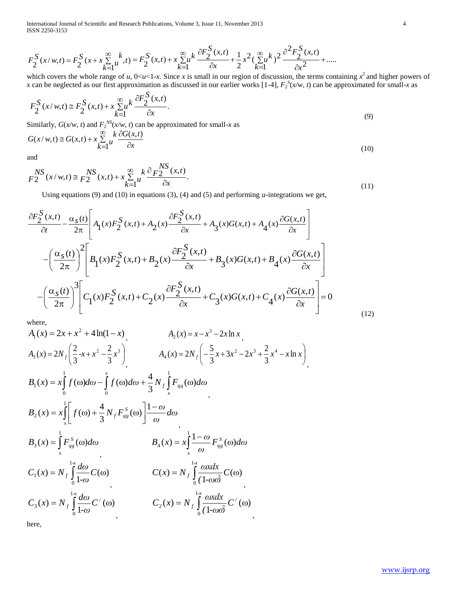International Journal of Scientific and Research Publications, Volume 3, Issue 11, November 2013 4 ISSN 2250-3153

$$
F_2^S(x/w,t) = F_2^S(x+x\sum_{k=1}^{\infty}u^k,t) = F_2^S(x,t) + x\sum_{k=1}^{\infty}u^k\frac{\partial F_2^S(x,t)}{\partial x} + \frac{1}{2}x^2(\sum_{k=1}^{\infty}u^k)^2\frac{\partial^2 F_2^S(x,t)}{\partial x^2} + .....
$$

which covers the whole range of *u*,  $0 \lt u \lt 1-x$ . Since *x* is small in our region of discussion, the terms containing  $x^2$  and higher powers of *x* can be neglected as our first approximation as discussed in our earlier works [1-4],  $F_2^S(x/w, t)$  can be approximated for small-*x* as

$$
F_2^S(x/w,t) \cong F_2^S(x,t) + x \sum_{k=1}^{\infty} u^k \frac{\partial F_2^S(x,t)}{\partial x}.
$$
\n(9)

Similarly,  $G(x/w, t)$  and  $F_2^{NS}(x/w, t)$  can be approximated for small-*x* as

$$
G(x/w,t) \cong G(x,t) + x \sum_{k=1}^{\infty} \frac{k}{w} \frac{\partial G(x,t)}{\partial x}
$$
\n(10)

and

$$
F_2^{NS}(x/w,t) \cong F_2^{NS}(x,t) + x \sum_{k=1}^{\infty} \frac{k}{u} \frac{\partial F_2^{NS}(x,t)}{\partial x}.
$$
\n(11)

Using equations (9) and (10) in equations (3), (4) and (5) and performing *u*-integrations we get,

$$
\frac{\partial F_2^S(x,t)}{\partial t} - \frac{\alpha_s(t)}{2\pi} \left[ A_1(x) F_2^S(x,t) + A_2(x) \frac{\partial F_2^S(x,t)}{\partial x} + A_3(x) G(x,t) + A_4(x) \frac{\partial G(x,t)}{\partial x} \right]
$$

$$
- \left( \frac{\alpha_s(t)}{2\pi} \right)^2 \left[ B_1(x) F_2^S(x,t) + B_2(x) \frac{\partial F_2^S(x,t)}{\partial x} + B_3(x) G(x,t) + B_4(x) \frac{\partial G(x,t)}{\partial x} \right]
$$

$$
- \left( \frac{\alpha_s(t)}{2\pi} \right)^3 \left[ C_1(x) F_2^S(x,t) + C_2(x) \frac{\partial F_2^S(x,t)}{\partial x} + C_3(x) G(x,t) + C_4(x) \frac{\partial G(x,t)}{\partial x} \right] = 0
$$
(12)

where,

$$
F_{2}^{3}(x/w,t) = F_{2}^{3}(x + x_{x}) = F_{2}^{3}(x,t) + x_{x} \sum_{k=1}^{N} u^{k-1} - F_{2}^{3}(x,t) + x_{x} \sum_{k=1}^{N} u^{k-1} - \frac{2}{kx} + \frac{2}{k} \sum_{k=1}^{N} \frac{2}{k-1} \frac{2}{k-1} + \frac{2}{2} \sum_{k=1}^{N} \frac{2}{k-1} \frac{2}{k-1} + \frac{2}{2} \sum_{k=1}^{N} \frac{2}{k-1} \frac{2}{k-1} + \frac{2}{2} \sum_{k=1}^{N} \frac{2}{k-1} \sum_{k=1}^{N} u^{k-1} - \frac{2}{2} \sum_{k=1}^{N} u^{k-1} - \frac{2}{2} \sum_{k=1}^{N} u^{k-1} - \frac{2}{2} \sum_{k=1}^{N} u^{k-1} - \frac{2}{2} \sum_{k=1}^{N} u^{k-1} - \frac{2}{2} \sum_{k=1}^{N} u^{k-1} - \frac{2}{2} \sum_{k=1}^{N} u^{k-1} - \frac{2}{2} \sum_{k=1}^{N} u^{k-1} - \frac{2}{2} \sum_{k=1}^{N} u^{k-1} - \frac{2}{2} \sum_{k=1}^{N} u^{k-1} - \frac{2}{2} \sum_{k=1}^{N} u^{k-1} - \frac{2}{2} \sum_{k=1}^{N} u^{k-1} - \frac{2}{2} \sum_{k=1}^{N} u^{k-1} - \frac{2}{2} \sum_{k=1}^{N} u^{k-1} - \frac{2}{2} \sum_{k=1}^{N} u^{k-1} - \frac{2}{2} \sum_{k=1}^{N} u^{k-1} - \frac{2}{2} \sum_{k=1}^{N} u^{k-1} - \frac{2}{2} \sum_{k=1}^{N} u^{k-1} - \frac{2}{2} \sum_{k=1}^{N} u^{k-1} - \frac{2}{2} \sum_{k=1}^{N} u^{k-1} - \frac{2}{2} \sum_{k=1}^{N} u^{k-1} - \frac{2}{2} \sum_{k=1}^{N} u^{k-1} - \frac{2}{
$$

here,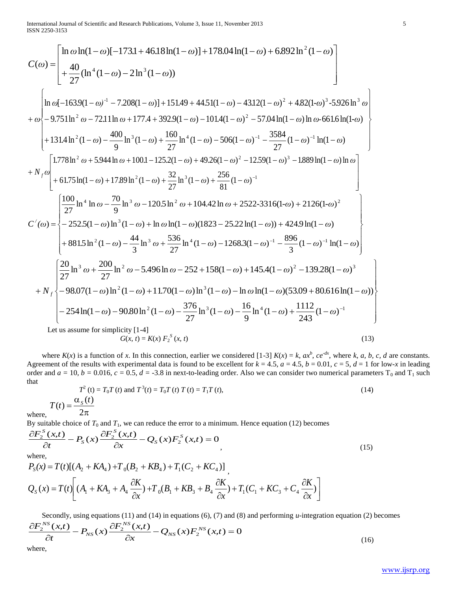$$
C(\omega) = \begin{bmatrix} \ln \omega \ln(1-\omega)[-173.1+46.18 \ln(1-\omega)]+178.04 \ln(1-\omega)+6.892 \ln^2(1-\omega) \\ +\frac{40}{27}(\ln^4(1-\omega)-2 \ln^3(1-\omega)) \end{bmatrix}
$$
  
+ $\omega \begin{bmatrix} \ln \omega[-163.9(1-\omega)^4-7.208(1-\omega)]+151.49+44.51(1-\omega)-43.12(1-\omega)^2+4.82(1-\omega)^3-5.926 \ln^3 \omega \\ -9.751 \ln^2 \omega-72.11 \ln \omega+177.4+392.9(1-\omega)-101.4(1-\omega)^2-57.04 \ln(1-\omega) \ln \omega-661.6 \ln(1-\omega) \\ +131.4 \ln^2(1-\omega)-\frac{400}{9} \ln^3(1-\omega)+\frac{160}{27} \ln^4(1-\omega)-506(1-\omega)^{-1}-\frac{3584}{27}(1-\omega)^{-1} \ln(1-\omega) \end{bmatrix}$   
+ $N_f \omega$   
+ $N_f \omega$   
+ $N_f \omega$   
+ $0.75 \ln(1-\omega)+17.89 \ln^2(1-\omega)+\frac{32}{27} \ln^3(1-\omega)+49.26(1-\omega)^2-12.59(1-\omega)^3-1889 \ln(1-\omega) \ln \omega$   
+ $N_f \omega$   
+ $0.175 \ln(1-\omega)+17.89 \ln^2(1-\omega)+\frac{32}{27} \ln^3(1-\omega)+\frac{256}{81}(1-\omega)^{-1}$   
+ $0.175 \ln(1-\omega)+17.89 \ln^2(1-\omega)+\frac{32}{27} \ln^3(1-\omega)+\frac{256}{81}(1-\omega)^{-1}$   
 $C'(\omega) = \begin{bmatrix} \frac{100}{27} \ln^4 \ln \omega - \frac{70}{9} \ln^3 \omega -120.5 \ln^2 \omega +104.42 \ln \omega +2522-3316(1-\omega)+2126(1-\omega)^2 \\ -252.5(1-\omega) \ln^3($ 

 $G(x, t) = K(x) F_2^S$  $(x, t)$  (13)

where  $K(x)$  is a function of x. In this connection, earlier we considered [1-3]  $K(x) = k$ ,  $ax^b$ ,  $ce^{dx}$ , where k, a, b, c, d are constants. Agreement of the results with experimental data is found to be excellent for  $k = 4.5$ ,  $a = 4.5$ ,  $b = 0.01$ ,  $c = 5$ ,  $d = 1$  for low-*x* in leading order and  $a = 10$ ,  $b = 0.016$ ,  $c = 0.5$ ,  $d = -3.8$  in next-to-leading order. Also we can consider two numerical parameters T<sub>0</sub> and T<sub>1</sub> such that

$$
T^{2}(t) = T_{0}T(t) \text{ and } T^{3}(t) = T_{0}T(t) T(t) = T_{1}T(t),
$$
\n
$$
T(t) = \frac{\alpha_{s}(t)}{2\pi}
$$
\n(14)

where,

By suitable choice of  $T_0$  and  $T_1$ , we can reduce the error to a minimum. Hence equation (12) becomes

$$
\frac{\partial F_2^S(x,t)}{\partial t} - P_S(x) \frac{\partial F_2^S(x,t)}{\partial x} - Q_S(x) F_2^S(x,t) = 0
$$
\nwhere, (15)

$$
P_S(x) = T(t)[(A_2 + KA_4) + T_0(B_2 + KB_4) + T_1(C_2 + KC_4)]
$$
  
\n
$$
Q_S(x) = T(t) \left[ (A_1 + KA_3 + A_4 \frac{\partial K}{\partial x}) + T_0(B_1 + KB_3 + B_4 \frac{\partial K}{\partial x}) + T_1(C_1 + KC_3 + C_4 \frac{\partial K}{\partial x}) \right]
$$

Secondly, using equations (11) and (14) in equations (6), (7) and (8) and performing *u*-integration equation (2) becomes

$$
\frac{\partial F_2^{NS}(x,t)}{\partial t} - P_{NS}(x) \frac{\partial F_2^{NS}(x,t)}{\partial x} - Q_{NS}(x) F_2^{NS}(x,t) = 0
$$
\n(16)

where,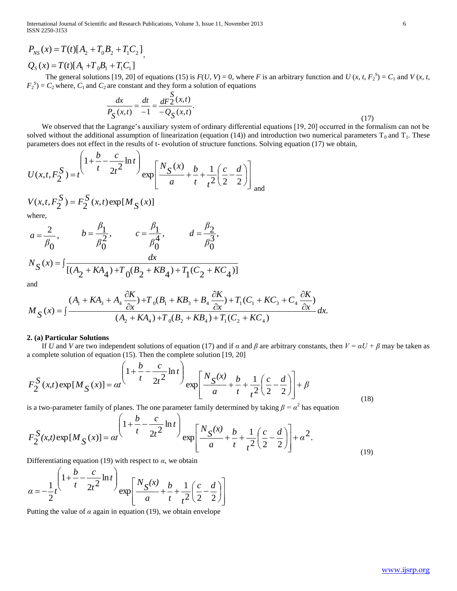International Journal of Scientific and Research Publications, Volume 3, Issue 11, November 2013 6 ISSN 2250-3153

$$
P_{NS}(x) = T(t)[A_2 + T_0B_2 + T_1C_2],
$$
  
 
$$
Q_S(x) = T(t)[A_1 + T_0B_1 + T_1C_1]
$$

The general solutions [19, 20] of equations (15) is  $F(U, V) = 0$ , where *F* is an arbitrary function and *U* (*x, t, F*<sub>2</sub><sup>S</sup>) =  $C_1$  and *V* (*x, t,*  $F_2^S$  =  $C_2$  where,  $C_1$  and  $C_2$  are constant and they form a solution of equations

$$
\frac{dx}{P_S(x,t)} = \frac{dt}{-1} = \frac{dF_2^S(x,t)}{-Q_S(x,t)}.
$$
\n(17)

 We observed that the Lagrange's auxiliary system of ordinary differential equations [19, 20] occurred in the formalism can not be solved without the additional assumption of linearization (equation (14)) and introduction two numerical parameters  $T_0$  and  $T_1$ . These parameters does not effect in the results of t- evolution of structure functions. Solving equation (17) we obtain,

*β*

$$
U(x, t, F_2^S) = t \left(\frac{1 + \frac{b}{t} - \frac{c}{2t^2} \ln t}{t}\right) \exp\left[\frac{N_S(x)}{a} + \frac{b}{t} + \frac{1}{t^2} \left(\frac{c}{2} - \frac{d}{2}\right)\right] \text{ and}
$$

*β*

$$
V(x, t, F_2^S) = F_2^S(x, t) \exp[M_S(x)]
$$
  
where,

*β*

$$
a = \frac{2}{\beta_0}, \qquad b = \frac{\beta_1}{\beta_0^2}, \qquad c = \frac{\beta_1}{\beta_0^4}, \qquad d = \frac{\beta_2}{\beta_0^3},
$$
  

$$
N_S(x) = \int \frac{dx}{[(A_2 + KA_4) + T_0(B_2 + KB_4) + T_1(C_2 + KC_4)]}
$$

and

$$
M_{S}(x) = \int \frac{(A_{1} + K A_{3} + A_{4} \frac{\partial K}{\partial x}) + T_{0}(B_{1} + K B_{3} + B_{4} \frac{\partial K}{\partial x}) + T_{1}(C_{1} + K C_{3} + C_{4} \frac{\partial K}{\partial x})}{(A_{2} + K A_{4}) + T_{0}(B_{2} + K B_{4}) + T_{1}(C_{2} + K C_{4})} dx.
$$

#### **2. (a) Particular Solutions**

If *U* and *V* are two independent solutions of equation (17) and if  $\alpha$  and  $\beta$  are arbitrary constants, then  $V = \alpha U + \beta$  may be taken as a complete solution of equation (15). Then the complete solution [19, 20]

$$
F_2^S(x,t) \exp[M_S(x)] = \alpha t}^{\left(1 + \frac{b}{t} - \frac{c}{2t^2} \ln t\right)} \exp\left[\frac{N_S(x)}{a} + \frac{b}{t} + \frac{1}{t^2} \left(\frac{c}{2} - \frac{d}{2}\right)\right] + \beta
$$
\n(18)

is a two-parameter family of planes. The one parameter family determined by taking  $\beta = \alpha^2$  has equation

$$
P_{SS}(x) = T(t)[A_2 + T_0B_2 + T_1C_1]
$$
  
\n $Q_2(x) = T(t)[A_1 + T_0B_1 + T_1C_1]$   
\n $Q_1(x) = T(t)[A_1 + T_0B_1 + T_0C_1]$   
\n $P_2^2) = C_2$  where,  $C_1$  and  $C_2$  are constant and they form a solution of equations  
\n
$$
\frac{dx}{P_2}(x,t) = \frac{dt}{dP_2}(x,t)
$$
\nWe observed that the Lagrange's auxiliary system of ordinary differential equations [19, 20] occurred in the formalism can not be  
\nobroved that the Lagrange's auxiliary system of ordinary differential equations [19, 20] occurred in the formalism can not be  
\nobroved with the addition assumption of linearization (equation is [19, 20] occurred in the formalism can not be  
\nby parameters does not effect in the results of  $t$ -evolution of structure functions. Solving equation (17) we obtain,  
\n
$$
U(x,t,F_2^S) = r\frac{\sum_{i=1}^{n} f(x,i) \exp[M_{S}(x)]}{\sum_{i=1}^{n} f(x,i) \exp[M_{S}(x)]}
$$
\n
$$
a = \frac{2}{\beta_0}, \qquad b = \frac{\beta_1}{\beta_0^2}, \qquad c = \frac{\beta_1}{\beta_0^4}, \qquad d = \frac{\beta_2}{\beta_0^3},
$$
\n
$$
N_S(x) = \frac{1}{[(A_2 + K A_4) + T_0(B_2 + K B_4) + T_1(C_2 + K C_4)]}
$$
\nand  
\n
$$
M_S(x) = \frac{(A_1 + K A_3 + A_2 \frac{\partial K}{\partial x} + T_3(B_1 + K B_3 + B_2 \frac{\partial K}{\partial x} + T_3(C_1 + K C_3 + C_4 \frac{\partial K}{\partial x})}{\sum_{i=1}^{n} f(x,i) \exp(M_{S}(x))} = a\frac{(1 + \frac{b}{t} - \frac{c}{2t} \ln t)}{(A_2 + K A_4) + T_0(B_2 + K B_4) + T_1(C_2 + K C_4)}
$$
\n
$$
= a\frac{1}{t} \cos(1) \cos(1) \cos(1) \cos(1) \cos(1) \cos(1) \sin(1) \cos(1) \sin(1
$$

Differentiating equation (19) with respect to  $\alpha$ , we obtain

$$
\alpha = -\frac{1}{2}t^{\left(1 + \frac{b}{t} - \frac{c}{2t^2}\ln t\right)} \exp\left[\frac{N_S(x)}{a} + \frac{b}{t} + \frac{1}{t^2}\left(\frac{c}{2} - \frac{d}{2}\right)\right]
$$

Putting the value of  $\alpha$  again in equation (19), we obtain envelope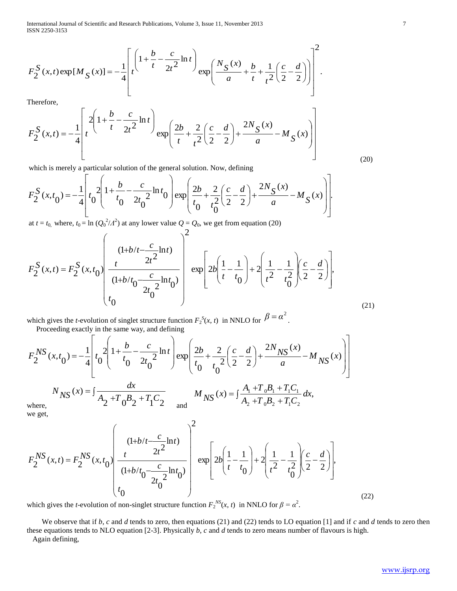International Journal of Scientific and Research Publications, Volume 3, Issue 11, November 2013 7 ISSN 2250-3153

$$
F_2^S(x,t) \exp[M_S(x)] = -\frac{1}{4} \left[ t \left( \frac{1 + \frac{b}{t} - \frac{c}{2t^2} \ln t}{t} \right) \exp\left( \frac{N_S(x)}{a} + \frac{b}{t} + \frac{1}{t^2} \left( \frac{c}{2} - \frac{d}{2} \right) \right) \right]^2.
$$

Therefore,

$$
F_2^S(x,t) = -\frac{1}{4} \left[ t \left( \frac{2\left(1 + \frac{b}{t} - \frac{c}{2t^2} \ln t\right)}{t} \exp\left(\frac{2b}{t} + \frac{2}{t^2} \left(\frac{c}{2} - \frac{d}{2}\right) + \frac{2N_S(x)}{a} - M_S(x) \right) \right]
$$

which is merely a particular solution of the general solution. Now, defining

$$
F_2^S(x, t_0) = -\frac{1}{4} \left[ t_0 \frac{2}{t_0} \left( 1 + \frac{b}{t_0} - \frac{c}{2t_0^2} \ln t_0 \right) \exp\left( \frac{2b}{t_0} + \frac{2}{t_0^2} \left( \frac{c}{2} - \frac{d}{2} \right) + \frac{2N_S(x)}{a} - M_S(x) \right) \right].
$$

at  $t = t_0$ , where,  $t_0 = \ln (Q_0^2/A^2)$  at any lower value  $Q = Q_0$ , we get from equation (20)  $\overline{1}$ 

$$
F_2^S(x,t) = F_2^S(x,t_0) \left( \frac{1+b/t - \frac{c}{2t^2} \ln t}{\frac{1}{(1+b/t_0 - \frac{c}{2t_0^2} \ln t_0)}} \right)^2 \exp\left[ 2b \left( \frac{1}{t} - \frac{1}{t_0} \right) + 2 \left( \frac{1}{t^2} - \frac{1}{t_0^2} \right) \left( \frac{c}{2} - \frac{d}{2} \right) \right],
$$
\n(21)

which gives the *t*-evolution of singlet structure function  $F_2^S(x, t)$  in NNLO for  $\beta = \alpha^2$ . Proceeding exactly in the same way, and defining

$$
F_2^{NS}(x, t_0) = -\frac{1}{4} \left[ t_0 \frac{2}{t_0} \left( 1 + \frac{b}{t_0} - \frac{c}{2t_0^2} \ln t \right) \exp\left( \frac{2b}{t_0} + \frac{2}{t_0^2} \left( \frac{c}{2} - \frac{d}{2} \right) + \frac{2N_{NS}(x)}{a} - M_{NS}(x) \right) \right]
$$
  
\n
$$
N_{NS}(x) = \int \frac{dx}{A_2 + T_0 B_2 + T_1 C_2} \qquad M_{NS}(x) = \int \frac{A_1 + T_0 B_1 + T_1 C_1}{A_2 + T_0 B_2 + T_1 C_2} dx,
$$

we get,

$$
F_2^{\text{O}}(x,t) \exp\left[\frac{M_S(x)}{a} - \frac{1}{4}\left[t\right]\right]
$$
  
\nTherefore,  
\n
$$
F_2^{\text{O}}(x,t) = -\frac{1}{4}\left[t\left(1 + \frac{b}{t} - \frac{c}{2t} \ln t\right)\exp\left(\frac{2b}{t} + \frac{2}{t^2} \left(\frac{c}{2} - \frac{d}{2}\right) + \frac{2N_S(x)}{a} - M_S(x)\right)\right]
$$
  
\nwhich is merely a particular solution of the general solution. Now, defining  
\n
$$
F_2^{\text{O}}(x,t_0) = -\frac{1}{4}\left[t_0^{\text{O}}\left(1 + \frac{b}{t_0} - \frac{c}{2t_0^{\text{O}}} \ln t_0\right)\exp\left(\frac{2b}{t_0} + \frac{2}{t^2} \left(\frac{c}{2} - \frac{d}{2}\right) + \frac{2N_S(x)}{a} - M_S(x)\right)\right]
$$
  
\n
$$
u + \frac{c}{t_0}
$$
 where,  $t_0 = \ln (Q_0^2 t/t)$  at any lower value  $Q = Q_0$ , we get from equation (20)  
\n
$$
F_2^{\text{O}}(x,t) = F_2^{\text{O}}(x,t_0)\left(\frac{(1+b/t - \frac{c}{2t_0^{\text{O}} \ln t_0})}{(1+b/t_0 - \frac{c}{2t_0^{\text{O}}} \ln t_0)}\right) \exp\left[2b\left(\frac{1}{t} - \frac{1}{t_0}\right) + 2\left(\frac{1}{t^2} - \frac{1}{t_0^{\text{O}}}\right)\left(\frac{c}{2} - \frac{d}{2}\right)\right].
$$
  
\nwhich gives the *t*-evolution of singlet structure function  $F_2^{\text{O}}(x,t)$  in NN1LO for  $\beta = \alpha^2$ .  
\nProceeding exactly in the same way, and defining  
\n
$$
F_2^{\text{NS}}(x,t_0) = -\frac{1}{4}\left[ t_0^{\text{O}}\left(1 + \frac{b}{t_0} - \frac{c}{2t_0^{\text{O}}} \ln t_0\right) \exp\left(\frac{2b}{t_0} + \frac{2}{t_0^{\text{
$$

which gives the *t*-evolution of non-singlet structure function  $F_2^{NS}(x, t)$  in NNLO for  $\beta = \alpha^2$ .

 We observe that if *b*, *c* and *d* tends to zero, then equations (21) and (22) tends to LO equation [1] and if *c* and *d* tends to zero then these equations tends to NLO equation [2-3]. Physically *b*, *c* and *d* tends to zero means number of flavours is high. Again defining,

(20)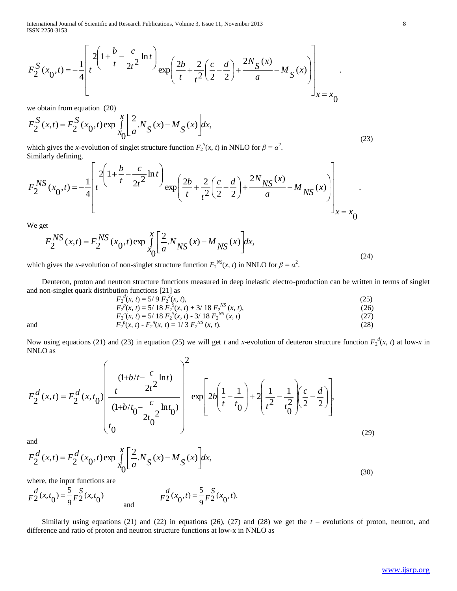International Journal of Scientific and Research Publications, Volume 3, Issue 11, November 2013 8 ISSN 2250-3153

$$
F_2^S(x_0, t) = -\frac{1}{4} \left[ t^2 \left( 1 + \frac{b}{t} - \frac{c}{2t^2} \ln t \right) \exp\left( \frac{2b}{t} + \frac{2}{t^2} \left( \frac{c}{2} - \frac{d}{2} \right) + \frac{2N_S(x)}{a} - M_S(x) \right) \right]_{x = x_0}
$$

we obtain from equation (20)

$$
F_2^S(x,t) = F_2^S(x_0,t) \exp \int_{x_0}^x \left[ \frac{2}{a} N_S(x) - M_S(x) \right] dx,
$$
\n(23)

which gives the *x*-evolution of singlet structure function  $F_2^S(x, t)$  in NNLO for  $\beta = \alpha^2$ . Similarly defining,

$$
F_2^{NS}(x_0, t) = -\frac{1}{4} \left[ t \frac{2 \left( 1 + \frac{b}{t} - \frac{c}{2t^2} \ln t \right)}{t} \exp\left( \frac{2b}{t} + \frac{2}{t^2} \left( \frac{c}{2} - \frac{d}{2} \right) + \frac{2N_{NS}(x)}{a} - M_{NS}(x) \right) \right]_{x = x_0}.
$$

We get

$$
F_2^{NS}(x,t) = F_2^{NS}(x_0,t) \exp \int_{0}^{x} \left[ \frac{2}{a} N_{NS}(x) - M_{NS}(x) \right] dx,
$$
\n(24)

which gives the *x*-evolution of non-singlet structure function  $F_2^{NS}(x, t)$  in NNLO for  $\beta = \alpha^2$ .

 Deuteron, proton and neutron structure functions measured in deep inelastic electro-production can be written in terms of singlet and non-singlet quark distribution functions [21] as

$$
F_2^{a}(x, t) = 5/9 F_2^{S}(x, t),
$$
  
\n
$$
F_2^{p}(x, t) = 5/18 F_2^{S}(x, t) + 3/18 F_2^{NS}(x, t),
$$
  
\n
$$
F_2^{n}(x, t) = 5/18 F_2^{S}(x, t) - 3/18 F_2^{NS}(x, t)
$$
  
\n(26)  
\n(27)

and 
$$
F_2^{\,n}(x, t) = \frac{5}{18} F_2^{\,S}(x, t) - \frac{3}{18} F_2^{\,NS}(x, t)
$$
\n
$$
F_2^{\,p}(x, t) - F_2^{\,n}(x, t) = \frac{1}{3} F_2^{\,NS}(x, t). \tag{28}
$$

and  $F_2$ 

Now using equations (21) and (23) in equation (25) we will get *t* and *x*-evolution of deuteron structure function  $F_2^d(x, t)$  at low-*x* in NNLO as

$$
F_2^d(x,t) = F_2^d(x,t_0) \left( \frac{1+b/t - \frac{c}{2t^2} \ln t}{\frac{1}{(1+b/t_0 - \frac{c}{2t_0^2} \ln t_0)}} \right)^2 \exp\left[ 2b \left( \frac{1}{t} - \frac{1}{t_0} \right) + 2 \left( \frac{1}{t^2} - \frac{1}{t_0^2} \right) \left( \frac{c}{2} - \frac{d}{2} \right) \right],
$$
\n(29)

and

$$
F_2^d(x,t) = F_2^d(x_0,t) \exp\int_{x_0}^x \left[ \frac{2}{a} N_S(x) - M_S(x) \right] dx,
$$
\n(30)

where, the input functions are

$$
F_2^d(x,t_0) = \frac{5}{9} F_2^S(x,t_0)
$$
 and 
$$
F_2^d(x_0,t) = \frac{5}{9} F_2^S(x_0,t).
$$

 Similarly using equations (21) and (22) in equations (26), (27) and (28) we get the *t* – evolutions of proton, neutron, and difference and ratio of proton and neutron structure functions at low-x in NNLO as

.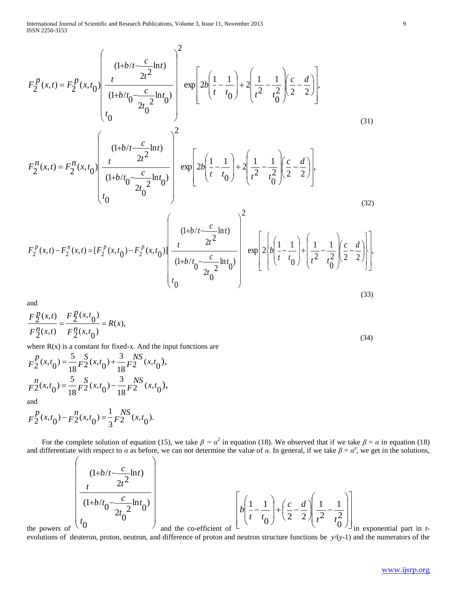$$
F_{2}^{p}(x,t) = F_{2}^{p}(x,t_{0}) \left( \frac{(1+b/t - \frac{c}{2t_{0}} \ln t_{0})}{(1+b/t_{0} - \frac{c}{2t_{0}} \ln t_{0})} \right) \exp\left[ 2b \left( \frac{1}{t} - \frac{1}{t_{0}} \right) + 2 \left( \frac{1}{t_{0}} - \frac{1}{t_{0}^{2}} \right) \left( \frac{c}{2} - \frac{d}{2} \right) \right],
$$
\n(31)  
\n
$$
F_{2}^{n}(x,t) = F_{2}^{n}(x,t_{0}) \left( \frac{(1+b/t - \frac{c}{2t_{0}} \ln t_{0})}{(1+b/t_{0} - \frac{c}{2t_{0}^{2}} \ln t_{0})} \right) \exp\left[ 2b \left( \frac{1}{t} - \frac{1}{t_{0}} \right) + 2 \left( \frac{1}{t_{0}} - \frac{1}{t_{0}^{2}} \right) \left( \frac{c}{2} - \frac{d}{2} \right) \right],
$$
\n(32)  
\n
$$
F_{2}^{p}(x,t) - F_{2}^{n}(x,t) = [F_{2}^{p}(x,t_{0}) - F_{2}^{p}(x,t_{0})] \left( \frac{(1+b/t - \frac{c}{2t_{0}} \ln t)}{(1+b/t_{0} - \frac{c}{2t_{0}^{2}} \ln t_{0})} \right) \exp\left[ 2 \left( b \left( \frac{1}{t} - \frac{1}{t_{0}} \right) + \left( \frac{1}{t_{0}} - \frac{1}{t_{0}^{2}} \right) \left( \frac{c}{2} - \frac{d}{2} \right) \right] \right],
$$
\n(33)

and

$$
\frac{F_2^p(x,t)}{F_2^n(x,t)} = \frac{F_2^p(x,t_0)}{F_2^n(x,t_0)} = R(x),
$$
\n(34)

where  $R(x)$  is a constant for fixed-x. And the input functions are

$$
F_2^P(x,t_0) = \frac{5}{18} F_2^S(x,t_0) + \frac{3}{18} F_2^{NS}(x,t_0),
$$
  
\n
$$
F_2^P(x,t_0) = \frac{5}{18} F_2^S(x,t_0) - \frac{3}{18} F_2^{NS}(x,t_0),
$$
  
\nand

 $\frac{1}{3}F_2^{N,3}(x,t_0).$  $F_2^P(x,t_0) - F_2^P(x,t_0) = \frac{1}{3}F_2^S(x,t_0)$ 

For the complete solution of equation (15), we take  $\beta = \alpha^2$  in equation (18). We observed that if we take  $\beta = \alpha$  in equation (18) and differentiate with respect to  $\alpha$  as before, we can not determine the value of  $\alpha$ . In general, if we take  $\beta = \alpha^y$ , we get in the solutions,

$$
\left(\frac{(1+b/t-\frac{c}{2t^2}\ln t)}{(1+b/t_0-\frac{c}{2t_0^2}\ln t_0)}\right)_{\text{and the co-efficient of}} \left[b\left(\frac{1}{t}-\frac{1}{t_0}\right)+\left(\frac{c}{2}-\frac{d}{2}\right)\left(\frac{1}{t^2}-\frac{1}{t_0^2}\right)\right]_{\text{in}}
$$

in exponential part in *t*-

the powers of evolutions of deuteron, proton, neutron, and difference of proton and neutron structure functions be *y*/(*y*-1) and the numerators of the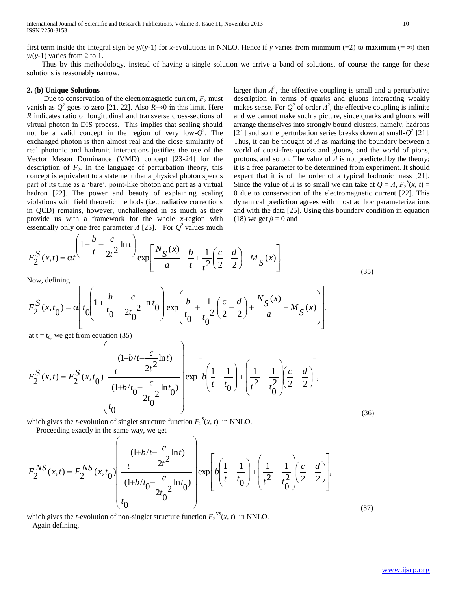International Journal of Scientific and Research Publications, Volume 3, Issue 11, November 2013 10 ISSN 2250-3153

first term inside the integral sign be  $y/(y-1)$  for *x*-evolutions in NNLO. Hence if y varies from minimum (=2) to maximum (= $\infty$ ) then *y*/(*y*-1) varies from 2 to 1.

 Thus by this methodology, instead of having a single solution we arrive a band of solutions, of course the range for these solutions is reasonably narrow.

## **2. (b) Unique Solutions**

Due to conservation of the electromagnetic current,  $F_2$  must vanish as  $Q^2$  goes to zero [21, 22]. Also  $R\rightarrow 0$  in this limit. Here *R* indicates ratio of longitudinal and transverse cross-sections of virtual photon in DIS process. This implies that scaling should not be a valid concept in the region of very low- $Q^2$ . The exchanged photon is then almost real and the close similarity of real photonic and hadronic interactions justifies the use of the Vector Meson Dominance (VMD) concept [23-24] for the description of  $F_2$ . In the language of perturbation theory, this concept is equivalent to a statement that a physical photon spends part of its time as a 'bare', point-like photon and part as a virtual hadron [22]. The power and beauty of explaining scaling violations with field theoretic methods (i.e., radiative corrections in QCD) remains, however, unchallenged in as much as they provide us with a framework for the whole *x*-region with essentially only one free parameter  $\Lambda$  [25]. For  $Q^2$  values much

 $\Delta$ 

*c*

larger than  $\Lambda^2$ , the effective coupling is small and a perturbative description in terms of quarks and gluons interacting weakly makes sense. For  $Q^2$  of order  $\Lambda^2$ , the effective coupling is infinite and we cannot make such a picture, since quarks and gluons will arrange themselves into strongly bound clusters, namely, hadrons [21] and so the perturbation series breaks down at small- $Q^2$  [21]. Thus, it can be thought of *Λ* as marking the boundary between a world of quasi-free quarks and gluons, and the world of pions, protons, and so on. The value of *Λ* is not predicted by the theory; it is a free parameter to be determined from experiment. It should expect that it is of the order of a typical hadronic mass [21]. Since the value of *Λ* is so small we can take at  $Q = A$ ,  $F_2^S(x, t) =$ 0 due to conservation of the electromagnetic current [22]. This dynamical prediction agrees with most ad hoc parameterizations and with the data [25]. Using this boundary condition in equation (18) we get  $\beta = 0$  and

$$
F_2^S(x,t) = \alpha t}^{\left(1 + \frac{b}{t} - \frac{c}{2t^2} \ln t\right)} \exp\left[\frac{N_S(x)}{a} + \frac{b}{t} + \frac{1}{t^2} \left(\frac{c}{2} - \frac{d}{2}\right) - M_S(x)\right].
$$
\n(35)

Now, defining

$$
F_2^S(x, t_0) = \alpha \left[ t_0 \left( 1 + \frac{b}{t_0} - \frac{c}{2t_0^2} \ln t_0 \right) \exp\left( \frac{b}{t_0} + \frac{1}{t_0^2} \left( \frac{c}{2} - \frac{d}{2} \right) + \frac{N_S(x)}{a} - M_S(x) \right) \right].
$$

at  $t = t_0$ , we get from equation (35)

 $\sqrt{ }$ 

*b*

$$
F_2^S(x,t) = F_2^S(x,t_0) \left( \frac{(1+b/t - \frac{c}{2t^2} \ln t)}{(1+b/t_0 - \frac{c}{2t_0^2} \ln t_0)} \right) \exp\left[ b \left( \frac{1}{t} - \frac{1}{t_0} \right) + \left( \frac{1}{t^2} - \frac{1}{t_0^2} \right) \left( \frac{c}{2} - \frac{d}{2} \right) \right],
$$

which gives the *t*-evolution of singlet structure function  $F_2^S(x, t)$  in NNLO.

Proceeding exactly in the same way, we get

$$
F_2^{NS}(x,t) = F_2^{NS}(x,t_0) \left( \frac{(1+b/t - \frac{c}{2t^2} \ln t)}{(1+b/t_0 - \frac{c}{2t_0^2} \ln t_0)} \right) \exp\left[ b \left( \frac{1}{t} - \frac{1}{t_0} \right) + \left( \frac{1}{t^2} - \frac{1}{t_0^2} \right) \left( \frac{c}{2} - \frac{d}{2} \right) \right],
$$
\n(37)

which gives the *t*-evolution of non-singlet structure function  $F_2^{NS}(x, t)$  in NNLO. Again defining,

(36)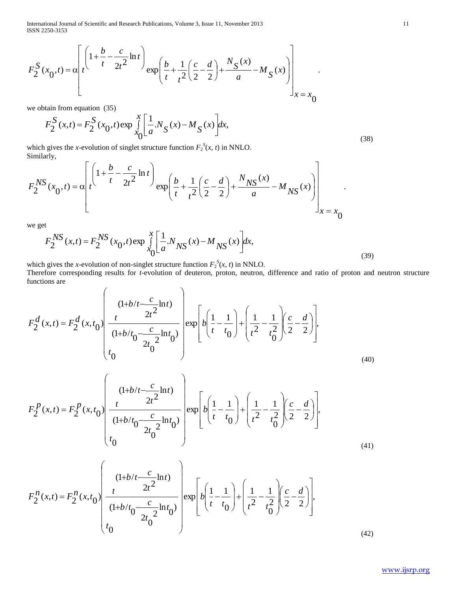International Journal of Scientific and Research Publications, Volume 3, Issue 11, November 2013 11 ISSN 2250-3153

$$
F_2^S(x_0, t) = \alpha \left[ t \frac{\left(1 + \frac{b}{t} - \frac{c}{2t^2} \ln t\right)}{t} \exp\left(\frac{b}{t} + \frac{1}{t^2} \left(\frac{c}{2} - \frac{d}{2}\right) + \frac{N_S(x)}{a} - M_S(x) \right) \right]_{x = x_0}
$$

we obtain from equation (35)

$$
F_2^S(x,t) = F_2^S(x_0,t) \exp \int_{x_0}^x \left[ \frac{1}{a} N_S(x) - M_S(x) \right] dx,
$$
\n(38)

which gives the *x*-evolution of singlet structure function  $F_2^S(x, t)$  in NNLO. Similarly,  $\overline{r}$ 

$$
F_2^{NS}(x_0, t) = \alpha \left[ t \frac{\left(1 + \frac{b}{t} - \frac{c}{2t^2} \ln t\right)}{t} \exp\left(\frac{b}{t} + \frac{1}{t^2} \left(\frac{c}{2} - \frac{d}{2}\right) + \frac{N_{NS}(x)}{a} - M_{NS}(x)\right) \right]_{x = x_0}.
$$

we get

$$
F_2^{NS}(x,t) = F_2^{NS}(x_0,t) \exp \int_{x_0}^{x} \left[ \frac{1}{a} N_{NS}(x) - M_{NS}(x) \right] dx,
$$
\n(39)

which gives the *x*-evolution of non-singlet structure function  $F_2^S(x, t)$  in NNLO. Therefore corresponding results for *t*-evolution of deuteron, proton, neutron, difference and ratio of proton and neutron structure functions are  $\overline{\phantom{0}}$  $\overline{\phantom{a}}$ 

$$
F_2^d(x,t) = F_2^d(x,t_0) \left( \frac{(1+b/t - \frac{c}{2t^2} \ln t)}{(1+b/t_0 - \frac{c}{2t_0^2} \ln t_0)} \right) \exp\left[ b \left( \frac{1}{t} - \frac{1}{t_0} \right) + \left( \frac{1}{t^2} - \frac{1}{t_0^2} \right) \left( \frac{c}{2} - \frac{d}{2} \right) \right],
$$
\n(40)

$$
F_2^P(x,t) = F_2^P(x,t_0) \left( \frac{(1+b/t - \frac{c}{2t^2} \ln t)}{(1+b/t_0 - \frac{c}{2t_0^2} \ln t_0)} \right) \exp\left[ b \left( \frac{1}{t} - \frac{1}{t_0} \right) + \left( \frac{1}{t^2} - \frac{1}{t_0^2} \right) \left( \frac{c}{2} - \frac{d}{2} \right) \right],
$$
\n(41)

$$
F_2^n(x,t) = F_2^n(x,t_0) \left( \frac{(1+b/t - \frac{c}{2t^2} \ln t)}{(1+b/t_0 - \frac{c}{2t_0^2} \ln t_0)} \right) \exp\left[ b \left( \frac{1}{t} - \frac{1}{t_0} \right) + \left( \frac{1}{t^2} - \frac{1}{t_0^2} \right) \left( \frac{c}{2} - \frac{d}{2} \right) \right],
$$
\n(42)

.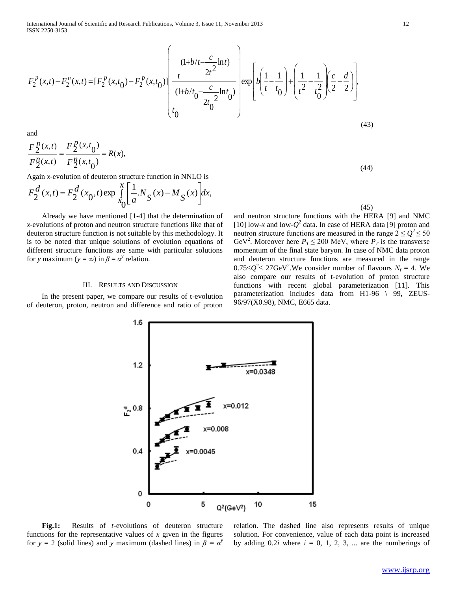International Journal of Scientific and Research Publications, Volume 3, Issue 11, November 2013 12 ISSN 2250-3153

$$
F_2^p(x,t) - F_2^n(x,t) = [F_2^p(x,t_0) - F_2^p(x,t_0)] \left[ \frac{(1+b/t - \frac{c}{2t^2} \ln t)}{(1+b/t_0 - \frac{c}{2t_0^2} \ln t_0)} \right] \exp\left[ b \left( \frac{1}{t} - \frac{1}{t_0} \right) + \left( \frac{1}{t^2} - \frac{1}{t_0^2} \right) \left( \frac{c}{2} - \frac{d}{2} \right) \right],
$$
\n(43)

(44)

and

$$
\frac{F_2^p(x,t)}{F_2^n(x,t)} = \frac{F_2^p(x,t_0)}{F_2^n(x,t_0)} = R(x),
$$

Again *x*-evolution of deuteron structure function in NNLO is

$$
F_2^d(x,t) = F_2^d(x_0,t) \exp \int_{x_0}^x \left[ \frac{1}{a} N_S(x) - M_S(x) \right] dx,
$$

 Already we have mentioned [1-4] that the determination of *x*-evolutions of proton and neutron structure functions like that of deuteron structure function is not suitable by this methodology. It is to be noted that unique solutions of evolution equations of different structure functions are same with particular solutions for *y* maximum ( $y = \infty$ ) in  $\beta = \alpha^y$  relation.

#### III. RESULTS AND DISCUSSION

 In the present paper, we compare our results of t-evolution of deuteron, proton, neutron and difference and ratio of proton





 **Fig.1:** Results of *t*-evolutions of deuteron structure functions for the representative values of  $x$  given in the figures for  $y = 2$  (solid lines) and *y* maximum (dashed lines) in  $\beta = \alpha^y$ 

relation. The dashed line also represents results of unique solution. For convenience, value of each data point is increased by adding  $0.2i$  where  $i = 0, 1, 2, 3, \dots$  are the numberings of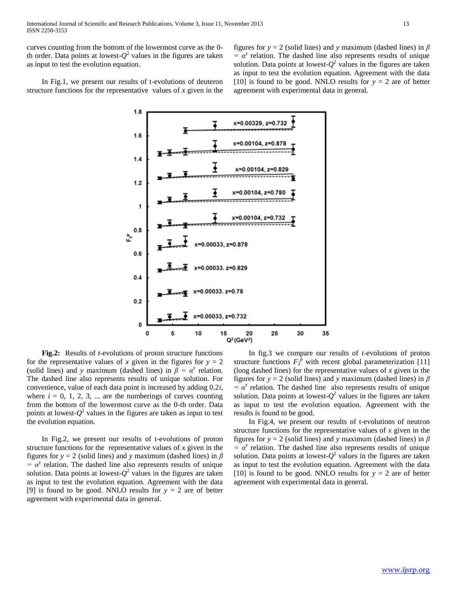curves counting from the bottom of the lowermost curve as the 0 th order. Data points at lowest- $Q^2$  values in the figures are taken as input to test the evolution equation.

figures for *y* = 2 (solid lines) and *y* maximum (dashed lines) in *β*   $= \alpha^y$  relation. The dashed line also represents results of unique solution. Data points at lowest- $Q^2$  values in the figures are taken as input to test the evolution equation. Agreement with the data [10] is found to be good. NNLO results for  $y = 2$  are of better agreement with experimental data in general.

 In Fig.1, we present our results of t-evolutions of deuteron structure functions for the representative values of *x* given in the



 **Fig.2:** Results of *t*-evolutions of proton structure functions for the representative values of *x* given in the figures for  $y = 2$ (solid lines) and *y* maximum (dashed lines) in  $\beta = \alpha^y$  relation. The dashed line also represents results of unique solution. For convenience, value of each data point is increased by adding 0.2*i,* where  $i = 0, 1, 2, 3, \dots$  are the numberings of curves counting from the bottom of the lowermost curve as the 0-th order. Data points at lowest- $Q^2$  values in the figures are taken as input to test the evolution equation.

 In Fig.2, we present our results of t-evolutions of proton structure functions for the representative values of *x* given in the figures for  $y = 2$  (solid lines) and *y* maximum (dashed lines) in  $\beta$  $= \alpha^y$  relation. The dashed line also represents results of unique solution. Data points at lowest- $Q^2$  values in the figures are taken as input to test the evolution equation. Agreement with the data [9] is found to be good. NNLO results for  $y = 2$  are of better agreement with experimental data in general.

 In fig.3 we compare our results of *t*-evolutions of proton structure functions  $F_2^{\hat{p}}$  with recent global parameterization [11] (long dashed lines) for the representative values of *x* given in the figures for  $y = 2$  (solid lines) and *y* maximum (dashed lines) in  $\beta$  $= \alpha^y$  relation. The dashed line also represents results of unique solution. Data points at lowest- $Q^2$  values in the figures are taken as input to test the evolution equation. Agreement with the results is found to be good.

 In Fig.4, we present our results of t-evolutions of neutron structure functions for the representative values of *x* given in the figures for  $y = 2$  (solid lines) and *y* maximum (dashed lines) in  $\beta$  $= \alpha^y$  relation. The dashed line also represents results of unique solution. Data points at lowest- $Q^2$  values in the figures are taken as input to test the evolution equation. Agreement with the data [10] is found to be good. NNLO results for  $y = 2$  are of better agreement with experimental data in general.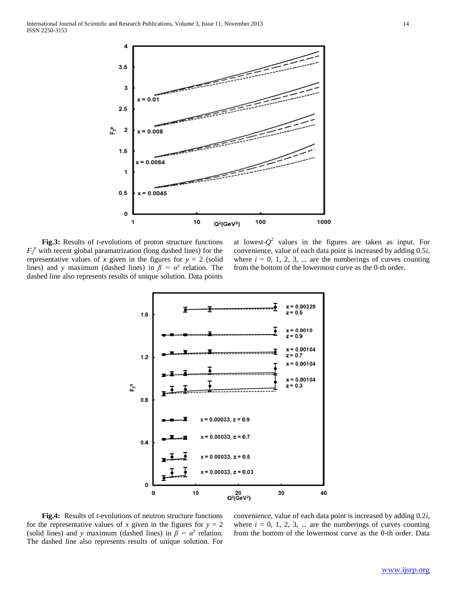

 **Fig.3:** Results of *t*-evolutions of proton structure functions  $F_2^p$  with recent global paramatrization (long dashed lines) for the representative values of *x* given in the figures for  $y = 2$  (solid lines) and *y* maximum (dashed lines) in  $\beta = \alpha^y$  relation. The dashed line also represents results of unique solution. Data points

at lowest- $Q^2$  values in the figures are taken as input. For convenience, value of each data point is increased by adding 0.5*i*, where  $i = 0, 1, 2, 3, \dots$  are the numberings of curves counting from the bottom of the lowermost curve as the 0-th order.



 **Fig.4:** Results of *t*-evolutions of neutron structure functions for the representative values of *x* given in the figures for  $y = 2$ (solid lines) and *y* maximum (dashed lines) in  $\beta = \alpha^y$  relation. The dashed line also represents results of unique solution. For

convenience, value of each data point is increased by adding 0.2*i,* where  $i = 0, 1, 2, 3, \dots$  are the numberings of curves counting from the bottom of the lowermost curve as the 0-th order. Data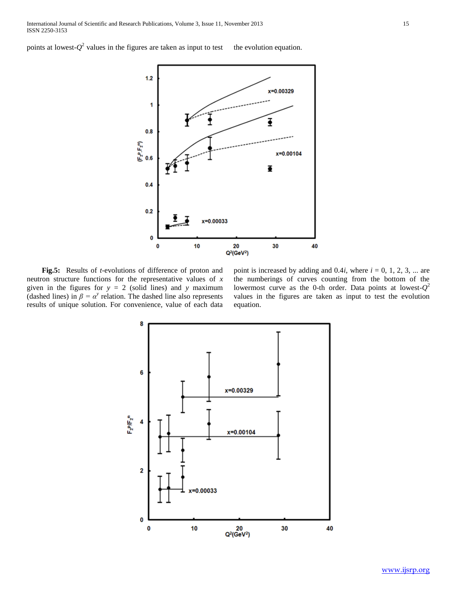points at lowest- $Q^2$  values in the figures are taken as input to test the evolution equation.



 **Fig.5:** Results of *t*-evolutions of difference of proton and neutron structure functions for the representative values of *x* given in the figures for  $y = 2$  (solid lines) and *y* maximum (dashed lines) in  $\beta = \alpha^y$  relation. The dashed line also represents results of unique solution. For convenience, value of each data

point is increased by adding and  $0.4i$ , where  $i = 0, 1, 2, 3, \dots$  are the numberings of curves counting from the bottom of the lowermost curve as the 0-th order. Data points at lowest- $Q^2$ values in the figures are taken as input to test the evolution equation.

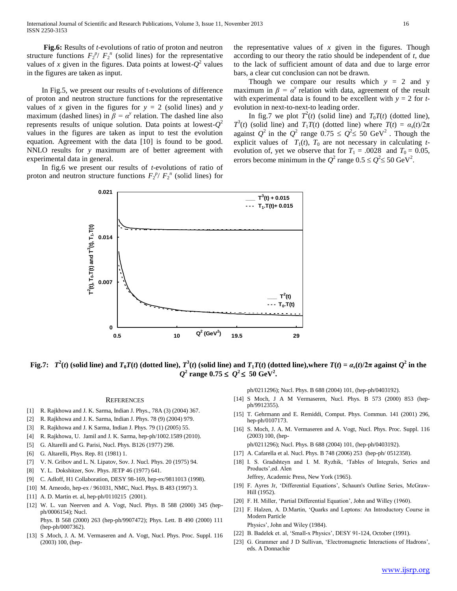**Fig.6:** Results of *t*-evolutions of ratio of proton and neutron structure functions  $F_2^{\ p} / F_2^{\ n}$  (solid lines) for the representative values of *x* given in the figures. Data points at lowest- $Q^2$  values in the figures are taken as input.

 In Fig.5, we present our results of t-evolutions of difference of proton and neutron structure functions for the representative values of *x* given in the figures for  $y = 2$  (solid lines) and *y* maximum (dashed lines) in  $\beta = \alpha^y$  relation. The dashed line also represents results of unique solution. Data points at lowest-*Q* 2 values in the figures are taken as input to test the evolution equation. Agreement with the data [10] is found to be good. NNLO results for *y* maximum are of better agreement with experimental data in general.

 In fig.6 we present our results of *t*-evolutions of ratio of proton and neutron structure functions  $F_2^{\ p} / F_2^{\ n}$  (solid lines) for



the representative values of *x* given in the figures. Though according to our theory the ratio should be independent of *t*, due to the lack of sufficient amount of data and due to large error bars, a clear cut conclusion can not be drawn.

Though we compare our results which  $y = 2$  and y maximum in  $\beta = \alpha^y$  relation with data, agreement of the result with experimental data is found to be excellent with  $y = 2$  for  $t$ evolution in next-to-next-to leading order.

In fig.7 we plot  $T^2(t)$  (solid line) and  $T_0T(t)$  (dotted line), *T*<sup>3</sup>(*t*) (solid line) and *T*<sub>1</sub>*T*(*t*) (dotted line) where *T*(*t*) =  $\alpha_s(t)/2\pi$ against  $Q^2$  in the  $Q^2$  range  $0.75 \leq Q^2 \leq 50$  GeV<sup>2</sup>. Though the explicit values of  $T_1(t)$ ,  $T_0$  are not necessary in calculating *t*evolution of, yet we observe that for  $T_1 = .0028$  and  $T_0 = 0.05$ , errors become minimum in the  $Q^2$  range  $0.5 \le Q^2 \le 50$  GeV<sup>2</sup>.

Fig.7:  $T^2(t)$  (solid line) and  $T_0T(t)$  (dotted line),  $T^3(t)$  (solid line) and  $T_1T(t)$  (dotted line),where  $T(t) = a_s(t)/2\pi$  against  $Q^2$  in the  $Q^2$  range  $0.75 \le Q^2 \le 50 \text{ GeV}^2$ .

#### **REFERENCES**

- [1] R. Rajkhowa and J. K. Sarma, Indian J. Phys., 78A (3) (2004) 367.
- [2] R. Rajkhowa and J. K. Sarma, Indian J. Phys. 78 (9) (2004) 979.
- [3] R. Rajkhowa and J. K Sarma, Indian J. Phys. 79 (1) (2005) 55.
- [4] R. Rajkhowa, U. Jamil and J. K. Sarma, hep-ph/1002.1589 (2010).
- [5] G. Altarelli and G. Parisi, Nucl. Phys. B126 (1977) 298.
- [6] G. Altarelli, Phys. Rep. 81 (1981) 1.
- [7] V. N. Gribov and L. N. Lipatov, Sov. J. Nucl. Phys. 20 (1975) 94.
- [8] Y. L. Dokshitzer, Sov. Phys. JETP 46 (1977) 641.
- [9] C. Adloff, H1 Collaboration, DESY 98-169, hep-ex/9811013 (1998).
- [10] M. Arneodo, hep-ex / 961031, NMC, Nucl. Phys. B 483 (1997) 3.
- [11] A. D. Martin et. al, hep-ph/0110215 (2001).
- [12] W. L. van Neerven and A. Vogt, Nucl. Phys. B 588 (2000) 345 (hepph/0006154); Nucl.

Phys. B 568 (2000) 263 (hep-ph/9907472); Phys. Lett. B 490 (2000) 111 (hep-ph/0007362).

[13] S .Moch, J. A. M. Vermaseren and A. Vogt, Nucl. Phys. Proc. Suppl. 116 (2003) 100, (hepph/0211296); Nucl. Phys. B 688 (2004) 101, (hep-ph/0403192).

- [14] S Moch, J A M Vermaseren, Nucl. Phys. B 573 (2000) 853 (hepph/9912355).
- [15] T. Gehrmann and E. Remiddi, Comput. Phys. Commun. 141 (2001) 296, hep-ph/0107173.
- [16] S. Moch, J. A. M. Vermaseren and A. Vogt, Nucl. Phys. Proc. Suppl. 116 (2003) 100, (hep-
- ph/0211296); Nucl. Phys. B 688 (2004) 101, (hep-ph/0403192).
- [17] A. Cafarella et al. Nucl. Phys. B 748 (2006) 253 (hep-ph/ 0512358).
- [18] I. S. Gradshteyn and I. M. Ryzhik, 'Tables of Integrals, Series and Products',ed. Alen Jeffrey, Academic Press, New York (1965).

[19] F. Ayres Jr, 'Differential Equations', Schaum's Outline Series, McGraw-Hill (1952).

- [20] F. H. Miller, 'Partial Differential Equation', John and Willey (1960).
- [21] F. Halzen, A. D.Martin, 'Quarks and Leptons: An Introductory Course in Modern Particle Physics', John and Wiley (1984).
- [22] B. Badelek et. al, 'Small-x Physics', DESY 91-124, October (1991).
- [23] G. Grammer and J D Sullivan, 'Electromagnetic Interactions of Hadrons', eds. A Donnachie